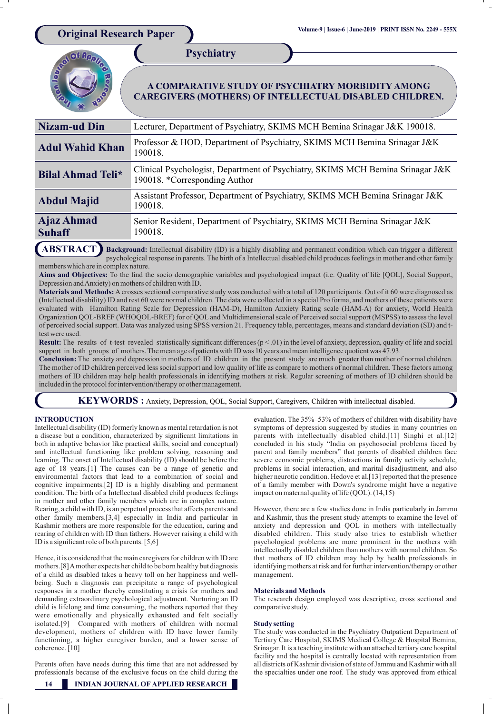**Psychiatry**

# **A COMPARATIVE STUDY OF PSYCHIATRY MORBIDITY AMONG CAREGIVERS (MOTHERS) OF INTELLECTUAL DISABLED CHILDREN.**

| <b>Nizam-ud Din</b>                | Lecturer, Department of Psychiatry, SKIMS MCH Bemina Srinagar J&K 190018.                                       |
|------------------------------------|-----------------------------------------------------------------------------------------------------------------|
| <b>Adul Wahid Khan</b>             | Professor & HOD, Department of Psychiatry, SKIMS MCH Bemina Srinagar J&K<br>190018.                             |
| <b>Bilal Ahmad Teli*</b>           | Clinical Psychologist, Department of Psychiatry, SKIMS MCH Bemina Srinagar J&K<br>190018. *Corresponding Author |
| <b>Abdul Majid</b>                 | Assistant Professor, Department of Psychiatry, SKIMS MCH Bemina Srinagar J&K<br>190018.                         |
| <b>Ajaz Ahmad</b><br><b>Suhaff</b> | Senior Resident, Department of Psychiatry, SKIMS MCH Bemina Srinagar J&K<br>190018.                             |

ABSTRACT) Background: Intellectual disability (ID) is a highly disabling and permanent condition which can trigger a different psychological response in parents. The birth of a Intellectual disabled child produces feelings in mother and other family members which are in complex nature.

**Aims and Objectives:** To the find the socio demographic variables and psychological impact (i.e. Quality of life [QOL], Social Support, Depression and Anxiety) on mothers of children with ID.

**Materials and Methods:** A crosses sectional comparative study was conducted with a total of 120 participants. Out of it 60 were diagnosed as (Intellectual disability) ID and rest 60 were normal children. The data were collected in a special Pro forma, and mothers of these patients were evaluated with Hamilton Rating Scale for Depression (HAM-D), Hamilton Anxiety Rating scale (HAM-A) for anxiety, World Health Organization QOL-BREF (WHOQOL-BREF) for of QOL and Multidimensional scale of Perceived social support (MSPSS) to assess the level of perceived social support. Data was analyzed using SPSS version 21. Frequency table, percentages, means and standard deviation (SD) and ttest were used.

**Result:** The results of t-test revealed statistically significant differences  $(p < .01)$  in the level of anxiety, depression, quality of life and social support in both groups of mothers. The mean age of patients with ID was 10 years and mean intelligence quotient was 47.93.

**Conclusion:** The anxiety and depression in mothers of ID children in the present study are much greater than mother of normal children. The mother of ID children perceived less social support and low quality of life as compare to mothers of normal children. These factors among mothers of ID children may help health professionals in identifying mothers at risk. Regular screening of mothers of ID children should be included in the protocol for intervention/therapy or other management.

**KEYWORDS :** Anxiety, Depression, QOL, Social Support, Caregivers, Children with intellectual disabled.

# **INTRODUCTION**

Intellectual disability (ID) formerly known as mental retardation is not a disease but a condition, characterized by significant limitations in both in adaptive behavior like practical skills, social and conceptual) and intellectual functioning like problem solving, reasoning and learning. The onset of Intellectual disability (ID) should be before the age of 18 years.[1] The causes can be a range of genetic and environmental factors that lead to a combination of social and cognitive impairments.[2] ID is a highly disabling and permanent condition. The birth of a Intellectual disabled child produces feelings in mother and other family members which are in complex nature. Rearing, a child with ID, is an perpetual process that affects parents and other family members.[3,4] especially in India and particular in Kashmir mothers are more responsible for the education, caring and rearing of children with ID than fathers. However raising a child with ID is a significant role of both parents. [5,6]

Hence, it is considered that the main caregivers for children with ID are mothers.[8] Amother expects her child to be born healthy but diagnosis of a child as disabled takes a heavy toll on her happiness and wellbeing. Such a diagnosis can precipitate a range of psychological responses in a mother thereby constituting a crisis for mothers and demanding extraordinary psychological adjustment. Nurturing an ID child is lifelong and time consuming, the mothers reported that they were emotionally and physically exhausted and felt socially isolated.[9] Compared with mothers of children with normal development, mothers of children with ID have lower family functioning, a higher caregiver burden, and a lower sense of coherence. [10]

Parents often have needs during this time that are not addressed by professionals because of the exclusive focus on the child during the

evaluation. The 35%–53% of mothers of children with disability have symptoms of depression suggested by studies in many countries on parents with intellectually disabled child.[11] Singhi et al.[12] concluded in his study "India on psychosocial problems faced by parent and family members" that parents of disabled children face severe economic problems, distractions in family activity schedule, problems in social interaction, and marital disadjustment, and also higher neurotic condition. Hedove et al. [13] reported that the presence of a family member with Down's syndrome might have a negative impact on maternal quality of life  $(QOL)$ .  $(14,15)$ 

However, there are a few studies done in India particularly in Jammu and Kashmir, thus the present study attempts to examine the level of anxiety and depression and QOL in mothers with intellectually disabled children. This study also tries to establish whether psychological problems are more prominent in the mothers with intellectually disabled children than mothers with normal children. So that mothers of ID children may help by health professionals in identifying mothers at risk and for further intervention/therapy or other management.

# **Materials and Methods**

The research design employed was descriptive, cross sectional and comparative study.

## **Study setting**

The study was conducted in the Psychiatry Outpatient Department of Tertiary Care Hospital, SKIMS Medical College & Hospital Bemina, Srinagar. It is a teaching institute with an attached tertiary care hospital facility and the hospital is centrally located with representation from all districts of Kashmir division of state of Jammu and Kashmir with all the specialties under one roof. The study was approved from ethical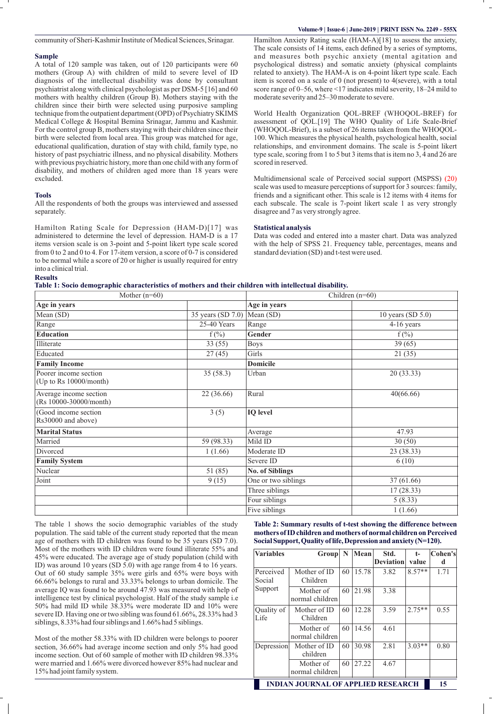#### **Sample**

A total of 120 sample was taken, out of 120 participants were 60 mothers (Group A) with children of mild to severe level of ID diagnosis of the intellectual disability was done by consultant psychiatrist along with clinical psychologist as per DSM-5 [16] and 60 mothers with healthy children (Group B). Mothers staying with the children since their birth were selected using purposive sampling technique from the outpatient department (OPD) of Psychiatry SKIMS Medical College & Hospital Bemina Srinagar, Jammu and Kashmir. For the control group B, mothers staying with their children since their birth were selected from local area. This group was matched for age, educational qualification, duration of stay with child, family type, no history of past psychiatric illness, and no physical disability. Mothers with previous psychiatric history, more than one child with any form of disability, and mothers of children aged more than 18 years were excluded.

#### **Tools**

All the respondents of both the groups was interviewed and assessed separately.

Hamilton Rating Scale for Depression (HAM-D)[17] was administered to determine the level of depression. HAM-D is a 17 items version scale is on 3-point and 5-point likert type scale scored from 0 to 2 and 0 to 4. For 17-item version, a score of 0-7 is considered to be normal while a score of 20 or higher is usually required for entry into a clinical trial.

Hamilton Anxiety Rating scale (HAM-A)[18] to assess the anxiety, The scale consists of 14 items, each defined by a series of symptoms, and measures both psychic anxiety (mental agitation and psychological distress) and somatic anxiety (physical complaints related to anxiety). The HAM-A is on 4-point likert type scale. Each item is scored on a scale of 0 (not present) to 4(severe), with a total score range of 0–56, where <17 indicates mild severity, 18–24 mild to moderate severity and 25–30 moderate to severe.

World Health Organization QOL-BREF (WHOQOL-BREF) for assessment of QOL.[19] The WHO Quality of Life Scale-Brief (WHOQOL-Brief), is a subset of 26 items taken from the WHOQOL-100. Which measures the physical health, psychological health, social relationships, and environment domains. The scale is 5-point likert type scale, scoring from 1 to 5 but 3 items that is item no 3,  $\hat{4}$  and 26 are scored in reserved.

Multidimensional scale of Perceived social support (MSPSS) (20) scale was used to measure perceptions of support for 3 sources: family, friends and a significant other. This scale is 12 items with 4 items for each subscale. The scale is 7-point likert scale 1 as very strongly disagree and 7 as very strongly agree.

### **Statistical analysis**

Data was coded and entered into a master chart. Data was analyzed with the help of SPSS 21. Frequency table, percentages, means and standard deviation (SD) and t-test were used.

#### **Results**

|  |  | Table 1: Socio demographic characteristics of mothers and their children with intellectual disability. |  |  |  |  |  |  |
|--|--|--------------------------------------------------------------------------------------------------------|--|--|--|--|--|--|
|--|--|--------------------------------------------------------------------------------------------------------|--|--|--|--|--|--|

| Mother $(n=60)$                                    |                   | Children $(n=60)$      |                      |  |  |
|----------------------------------------------------|-------------------|------------------------|----------------------|--|--|
| Age in years                                       |                   | Age in years           |                      |  |  |
| Mean (SD)                                          | 35 years (SD 7.0) | Mean (SD)              | 10 years (SD $5.0$ ) |  |  |
| Range                                              | 25-40 Years       | Range                  | $4-16$ years         |  |  |
| <b>Education</b>                                   | $f(\%)$           | Gender                 | $f(\%)$              |  |  |
| Illiterate                                         | 33(55)            | <b>Boys</b>            | 39(65)               |  |  |
| Educated                                           | 27(45)            | Girls                  | 21(35)               |  |  |
| <b>Family Income</b>                               |                   | <b>Domicile</b>        |                      |  |  |
| Poorer income section<br>(Up to Rs $10000/month$ ) | 35(58.3)          | Urban                  | 20(33.33)            |  |  |
| Average income section<br>(Rs 10000-30000/month)   | 22 (36.66)        | Rural                  | 40(66.66)            |  |  |
| (Good income section<br>Rs30000 and above)         | 3(5)              | <b>IQ</b> level        |                      |  |  |
| <b>Marital Status</b>                              |                   | Average                | 47.93                |  |  |
| Married                                            | 59 (98.33)        | Mild ID                | 30(50)               |  |  |
| Divorced                                           | 1(1.66)           | Moderate ID            | 23(38.33)            |  |  |
| <b>Family System</b>                               |                   | Severe ID              | 6(10)                |  |  |
| Nuclear                                            | 51 (85)           | <b>No. of Siblings</b> |                      |  |  |
| Joint                                              | 9(15)             | One or two siblings    | 37 (61.66)           |  |  |
|                                                    |                   | Three siblings         | 17(28.33)            |  |  |
|                                                    |                   | Four siblings          | 5(8.33)              |  |  |
|                                                    |                   | Five siblings          | 1(1.66)              |  |  |

The table 1 shows the socio demographic variables of the study population. The said table of the current study reported that the mean age of mothers with ID children was found to be 35 years (SD 7.0). Most of the mothers with ID children were found illiterate 55% and 45% were educated. The average age of study population (child with ID) was around 10 years (SD 5.0) with age range from 4 to 16 years. Out of 60 study sample 35% were girls and 65% were boys with 66.66% belongs to rural and 33.33% belongs to urban domicile. The average IQ was found to be around 47.93 was measured with help of intelligence test by clinical psychologist. Half of the study sample i.e 50% had mild ID while 38.33% were moderate ID and 10% were severe ID. Having one or two sibling was found 61.66%, 28.33% had 3 siblings, 8.33% had four siblings and 1.66% had 5 siblings.

Most of the mother 58.33% with ID children were belongs to poorer section, 36.66% had average income section and only 5% had good income section. Out of 60 sample of mother with ID children 98.33% were married and 1.66% were divorced however 85% had nuclear and 15% had joint family system.

# **Table 2: Summary results of t-test showing the difference between mothers ofIDchildrenandmothers ofnormal childrenonPerceived SocialSupport,Qualityoflife,Depressionandanxiety(N=120).**

| <b>Variables</b>                          | Group                        | $\mathbb{N}$ | Mean  | Std.             | $t-$     | Cohen's |
|-------------------------------------------|------------------------------|--------------|-------|------------------|----------|---------|
|                                           |                              |              |       | <b>Deviation</b> | value    | d       |
| Perceived<br>Social<br>Support            | Mother of ID<br>Children     | 60           | 15.78 | 3.82             | $8.57**$ | 1.71    |
|                                           | Mother of<br>normal children | 60           | 21.98 | 3.38             |          |         |
| Quality of<br>Life                        | Mother of ID<br>Children     | 60           | 12.28 | 3.59             | $2.75**$ | 0.55    |
|                                           | Mother of<br>normal children | 60           | 14.56 | 4.61             |          |         |
| Depression                                | Mother of ID<br>children     | 60           | 30.98 | 2.81             | $3.03**$ | 0.80    |
|                                           | Mother of<br>normal children | 60           | 27.22 | 4.67             |          |         |
| <b>INDIAN JOURNAL OF APPLIED RESEARCH</b> |                              |              |       |                  |          | 15      |